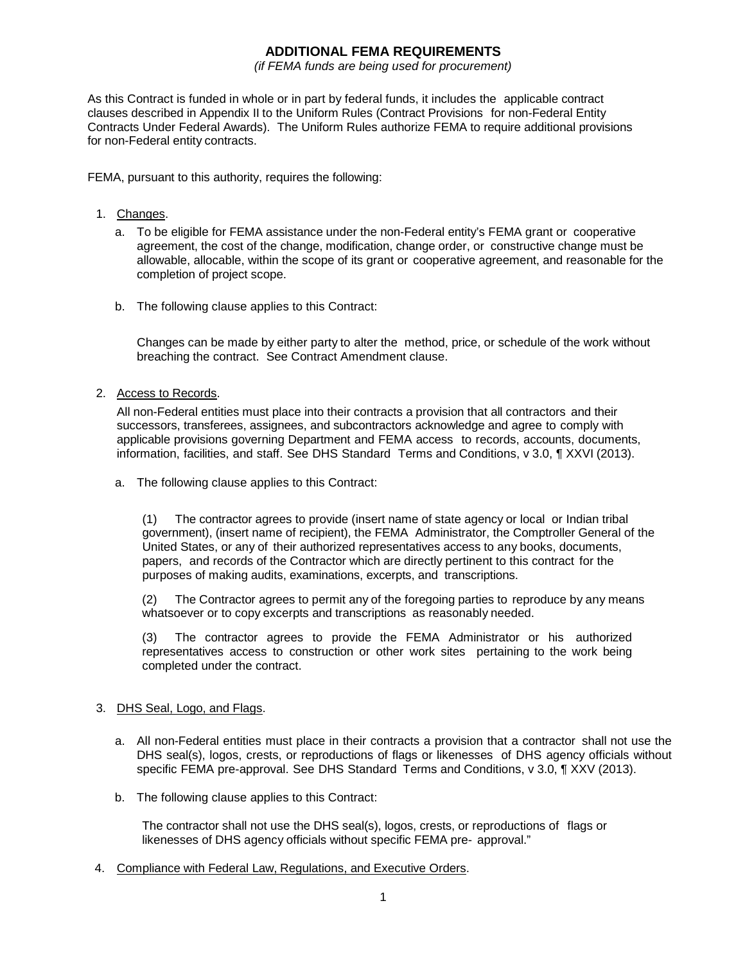## **ADDITIONAL FEMA REQUIREMENTS**

*(if FEMA funds are being used for procurement)*

As this Contract is funded in whole or in part by federal funds, it includes the applicable contract clauses described in Appendix II to the Uniform Rules (Contract Provisions for non-Federal Entity Contracts Under Federal Awards). The Uniform Rules authorize FEMA to require additional provisions for non-Federal entity contracts.

FEMA, pursuant to this authority, requires the following:

- 1. Changes.
	- a. To be eligible for FEMA assistance under the non-Federal entity's FEMA grant or cooperative agreement, the cost of the change, modification, change order, or constructive change must be allowable, allocable, within the scope of its grant or cooperative agreement, and reasonable for the completion of project scope.
	- b. The following clause applies to this Contract:

Changes can be made by either party to alter the method, price, or schedule of the work without breaching the contract. See Contract Amendment clause.

2. Access to Records.

All non-Federal entities must place into their contracts a provision that all contractors and their successors, transferees, assignees, and subcontractors acknowledge and agree to comply with applicable provisions governing Department and FEMA access to records, accounts, documents, information, facilities, and staff. See DHS Standard Terms and Conditions, v 3.0, ¶ XXVI (2013).

a. The following clause applies to this Contract:

(1) The contractor agrees to provide (insert name of state agency or local or Indian tribal government), (insert name of recipient), the FEMA Administrator, the Comptroller General of the United States, or any of their authorized representatives access to any books, documents, papers, and records of the Contractor which are directly pertinent to this contract for the purposes of making audits, examinations, excerpts, and transcriptions.

(2) The Contractor agrees to permit any of the foregoing parties to reproduce by any means whatsoever or to copy excerpts and transcriptions as reasonably needed.

(3) The contractor agrees to provide the FEMA Administrator or his authorized representatives access to construction or other work sites pertaining to the work being completed under the contract.

## 3. DHS Seal, Logo, and Flags.

- a. All non-Federal entities must place in their contracts a provision that a contractor shall not use the DHS seal(s), logos, crests, or reproductions of flags or likenesses of DHS agency officials without specific FEMA pre-approval. See DHS Standard Terms and Conditions, v 3.0, ¶ XXV (2013).
- b. The following clause applies to this Contract:

The contractor shall not use the DHS seal(s), logos, crests, or reproductions of flags or likenesses of DHS agency officials without specific FEMA pre- approval."

4. Compliance with Federal Law, Regulations, and Executive Orders.